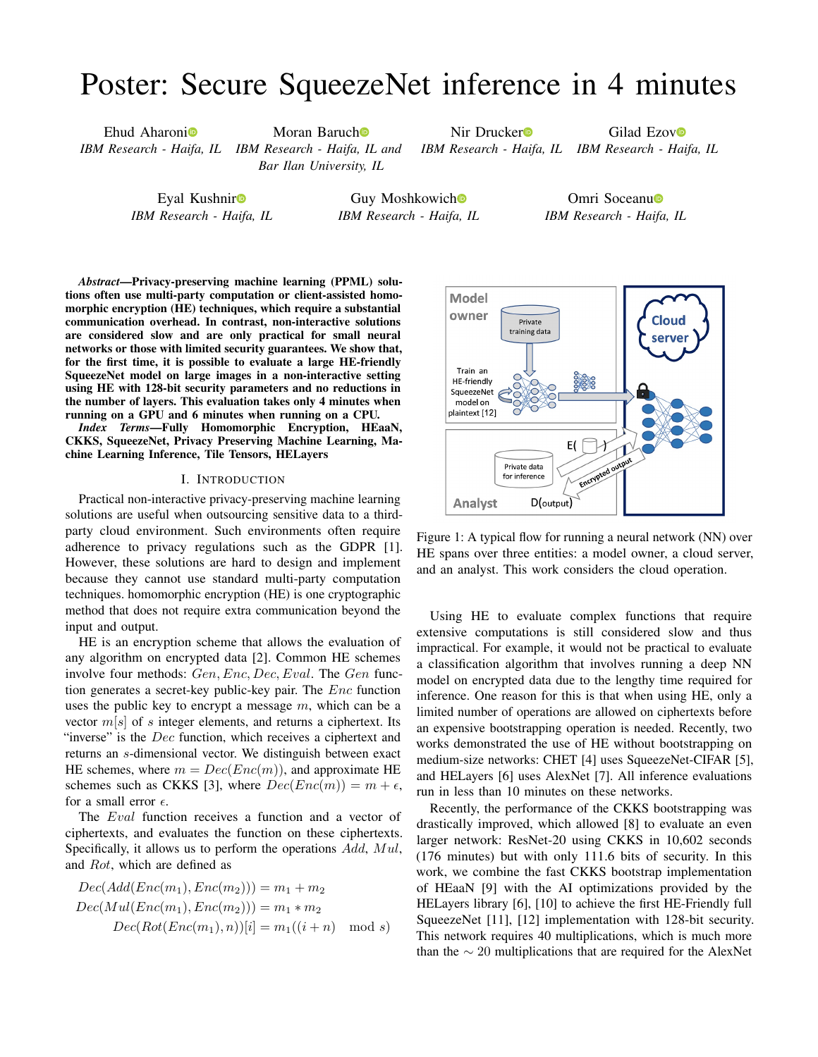## <span id="page-0-0"></span>Poster: Secure SqueezeNet inference in 4 minutes

Ehud Aharon[i](https://orcid.org/0000-0002-3647-1440)<sup>o</sup>

*IBM Research - Haifa, IL IBM Research - Haifa, IL and* Moran Baruc[h](https://orcid.org/0000-0003-0615-6164)<sup>o</sup> *Bar Ilan University, IL*

Ni[r](https://orcid.org/0000-0002-7273-4797) Drucker<sup>o</sup>

Gilad Ezo[v](https://orcid.org/0000-0003-4579-8127)<sup>o</sup>

*IBM Research - Haifa, IL IBM Research - Haifa, IL*

Eyal Kushni[r](https://orcid.org/0000-0001-6123-0297) *IBM Research - Haifa, IL*

Guy Moshkowic[h](https://orcid.org/0000-0003-1856-8430) *IBM Research - Haifa, IL*

Omri Socean[u](https://orcid.org/0000-0002-7570-4366)<sup>®</sup> *IBM Research - Haifa, IL*

*Abstract*—Privacy-preserving machine learning (PPML) solutions often use multi-party computation or client-assisted homomorphic encryption (HE) techniques, which require a substantial communication overhead. In contrast, non-interactive solutions are considered slow and are only practical for small neural networks or those with limited security guarantees. We show that, for the first time, it is possible to evaluate a large HE-friendly SqueezeNet model on large images in a non-interactive setting using HE with 128-bit security parameters and no reductions in the number of layers. This evaluation takes only 4 minutes when running on a GPU and 6 minutes when running on a CPU.

*Index Terms*—Fully Homomorphic Encryption, HEaaN, CKKS, SqueezeNet, Privacy Preserving Machine Learning, Machine Learning Inference, Tile Tensors, HELayers

## I. INTRODUCTION

Practical non-interactive privacy-preserving machine learning solutions are useful when outsourcing sensitive data to a thirdparty cloud environment. Such environments often require adherence to privacy regulations such as the GDPR [\[1\]](#page-1-0). However, these solutions are hard to design and implement because they cannot use standard multi-party computation techniques. homomorphic encryption (HE) is one cryptographic method that does not require extra communication beyond the input and output.

HE is an encryption scheme that allows the evaluation of any algorithm on encrypted data [\[2\]](#page-1-1). Common HE schemes involve four methods: *Gen, Enc, Dec, Eval*. The *Gen* function generates a secret-key public-key pair. The *Enc* function uses the public key to encrypt a message *m*, which can be a vector *m*[*s*] of *s* integer elements, and returns a ciphertext. Its "inverse" is the *Dec* function, which receives a ciphertext and returns an *s*-dimensional vector. We distinguish between exact HE schemes, where  $m = Dec(Enc(m))$ , and approximate HE schemes such as CKKS [\[3\]](#page-1-2), where  $Dec(Enc(m)) = m + \epsilon$ , for a small error  $\epsilon$ .

The *Eval* function receives a function and a vector of ciphertexts, and evaluates the function on these ciphertexts. Specifically, it allows us to perform the operations *Add*, *Mul*, and *Rot*, which are defined as

$$
Dec(Add(Enc(m_1), Enc(m_2))) = m_1 + m_2
$$
  
\n
$$
Dec(Mul(Enc(m_1), Enc(m_2))) = m_1 * m_2
$$
  
\n
$$
Dec(Rot(Enc(m_1), n))[i] = m_1((i+n) \mod s)
$$

<span id="page-0-1"></span>

Figure 1: A typical flow for running a neural network (NN) over HE spans over three entities: a model owner, a cloud server, and an analyst. This work considers the cloud operation.

Using HE to evaluate complex functions that require extensive computations is still considered slow and thus impractical. For example, it would not be practical to evaluate a classification algorithm that involves running a deep NN model on encrypted data due to the lengthy time required for inference. One reason for this is that when using HE, only a limited number of operations are allowed on ciphertexts before an expensive bootstrapping operation is needed. Recently, two works demonstrated the use of HE without bootstrapping on medium-size networks: CHET [\[4\]](#page-1-3) uses SqueezeNet-CIFAR [\[5\]](#page-1-4), and HELayers [\[6\]](#page-1-5) uses AlexNet [\[7\]](#page-1-6). All inference evaluations run in less than 10 minutes on these networks.

Recently, the performance of the CKKS bootstrapping was drastically improved, which allowed [\[8\]](#page-1-7) to evaluate an even larger network: ResNet-20 using CKKS in 10,602 seconds (176 minutes) but with only 111.6 bits of security. In this work, we combine the fast CKKS bootstrap implementation of HEaaN [\[9\]](#page-1-8) with the AI optimizations provided by the HELayers library [\[6\]](#page-1-5), [\[10\]](#page-1-9) to achieve the first HE-Friendly full SqueezeNet [\[11\]](#page-1-10), [\[12\]](#page-1-11) implementation with 128-bit security. This network requires 40 multiplications, which is much more than the  $\sim 20$  multiplications that are required for the AlexNet